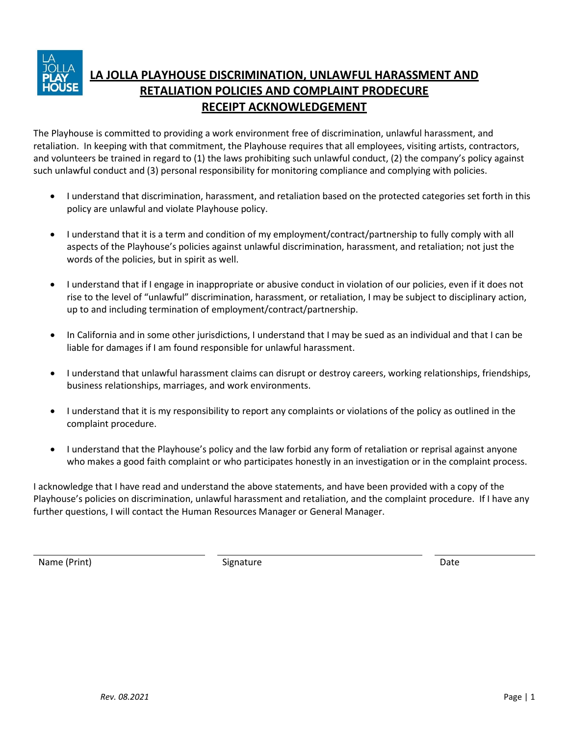

# **LA JOLLA PLAYHOUSE DISCRIMINATION, UNLAWFUL HARASSMENT AND RETALIATION POLICIES AND COMPLAINT PRODECURE RECEIPT ACKNOWLEDGEMENT**

The Playhouse is committed to providing a work environment free of discrimination, unlawful harassment, and retaliation. In keeping with that commitment, the Playhouse requires that all employees, visiting artists, contractors, and volunteers be trained in regard to (1) the laws prohibiting such unlawful conduct, (2) the company's policy against such unlawful conduct and (3) personal responsibility for monitoring compliance and complying with policies.

- I understand that discrimination, harassment, and retaliation based on the protected categories set forth in this policy are unlawful and violate Playhouse policy.
- I understand that it is a term and condition of my employment/contract/partnership to fully comply with all aspects of the Playhouse's policies against unlawful discrimination, harassment, and retaliation; not just the words of the policies, but in spirit as well.
- I understand that if I engage in inappropriate or abusive conduct in violation of our policies, even if it does not rise to the level of "unlawful" discrimination, harassment, or retaliation, I may be subject to disciplinary action, up to and including termination of employment/contract/partnership.
- In California and in some other jurisdictions, I understand that I may be sued as an individual and that I can be liable for damages if I am found responsible for unlawful harassment.
- I understand that unlawful harassment claims can disrupt or destroy careers, working relationships, friendships, business relationships, marriages, and work environments.
- I understand that it is my responsibility to report any complaints or violations of the policy as outlined in the complaint procedure.
- I understand that the Playhouse's policy and the law forbid any form of retaliation or reprisal against anyone who makes a good faith complaint or who participates honestly in an investigation or in the complaint process.

I acknowledge that I have read and understand the above statements, and have been provided with a copy of the Playhouse's policies on discrimination, unlawful harassment and retaliation, and the complaint procedure. If I have any further questions, I will contact the Human Resources Manager or General Manager.

Name (Print) **Signature** Signature Date Date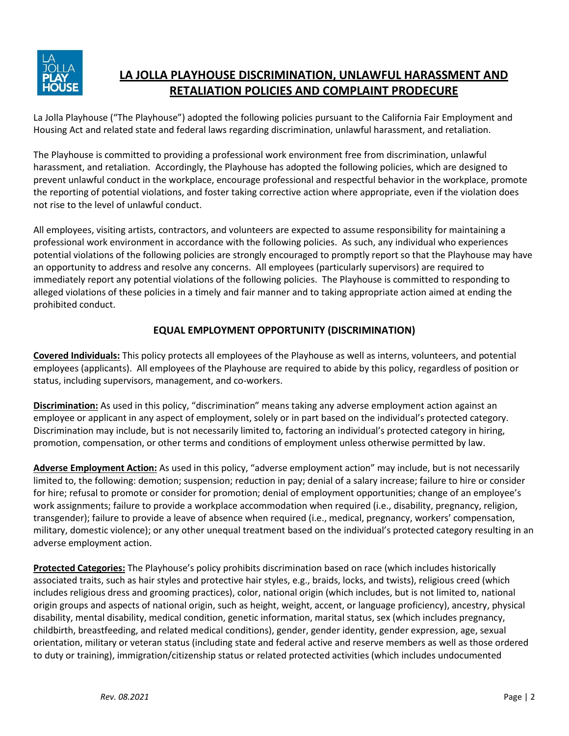

## **LA JOLLA PLAYHOUSE DISCRIMINATION, UNLAWFUL HARASSMENT AND RETALIATION POLICIES AND COMPLAINT PRODECURE**

La Jolla Playhouse ("The Playhouse") adopted the following policies pursuant to the California Fair Employment and Housing Act and related state and federal laws regarding discrimination, unlawful harassment, and retaliation.

The Playhouse is committed to providing a professional work environment free from discrimination, unlawful harassment, and retaliation. Accordingly, the Playhouse has adopted the following policies, which are designed to prevent unlawful conduct in the workplace, encourage professional and respectful behavior in the workplace, promote the reporting of potential violations, and foster taking corrective action where appropriate, even if the violation does not rise to the level of unlawful conduct.

All employees, visiting artists, contractors, and volunteers are expected to assume responsibility for maintaining a professional work environment in accordance with the following policies. As such, any individual who experiences potential violations of the following policies are strongly encouraged to promptly report so that the Playhouse may have an opportunity to address and resolve any concerns. All employees (particularly supervisors) are required to immediately report any potential violations of the following policies. The Playhouse is committed to responding to alleged violations of these policies in a timely and fair manner and to taking appropriate action aimed at ending the prohibited conduct.

### **EQUAL EMPLOYMENT OPPORTUNITY (DISCRIMINATION)**

**Covered Individuals:** This policy protects all employees of the Playhouse as well as interns, volunteers, and potential employees (applicants). All employees of the Playhouse are required to abide by this policy, regardless of position or status, including supervisors, management, and co-workers.

**Discrimination:** As used in this policy, "discrimination" means taking any adverse employment action against an employee or applicant in any aspect of employment, solely or in part based on the individual's protected category. Discrimination may include, but is not necessarily limited to, factoring an individual's protected category in hiring, promotion, compensation, or other terms and conditions of employment unless otherwise permitted by law.

**Adverse Employment Action:** As used in this policy, "adverse employment action" may include, but is not necessarily limited to, the following: demotion; suspension; reduction in pay; denial of a salary increase; failure to hire or consider for hire; refusal to promote or consider for promotion; denial of employment opportunities; change of an employee's work assignments; failure to provide a workplace accommodation when required (i.e., disability, pregnancy, religion, transgender); failure to provide a leave of absence when required (i.e., medical, pregnancy, workers' compensation, military, domestic violence); or any other unequal treatment based on the individual's protected category resulting in an adverse employment action.

**Protected Categories:** The Playhouse's policy prohibits discrimination based on race (which includes historically associated traits, such as hair styles and protective hair styles, e.g., braids, locks, and twists), religious creed (which includes religious dress and grooming practices), color, national origin (which includes, but is not limited to, national origin groups and aspects of national origin, such as height, weight, accent, or language proficiency), ancestry, physical disability, mental disability, medical condition, genetic information, marital status, sex (which includes pregnancy, childbirth, breastfeeding, and related medical conditions), gender, gender identity, gender expression, age, sexual orientation, military or veteran status (including state and federal active and reserve members as well as those ordered to duty or training), immigration/citizenship status or related protected activities (which includes undocumented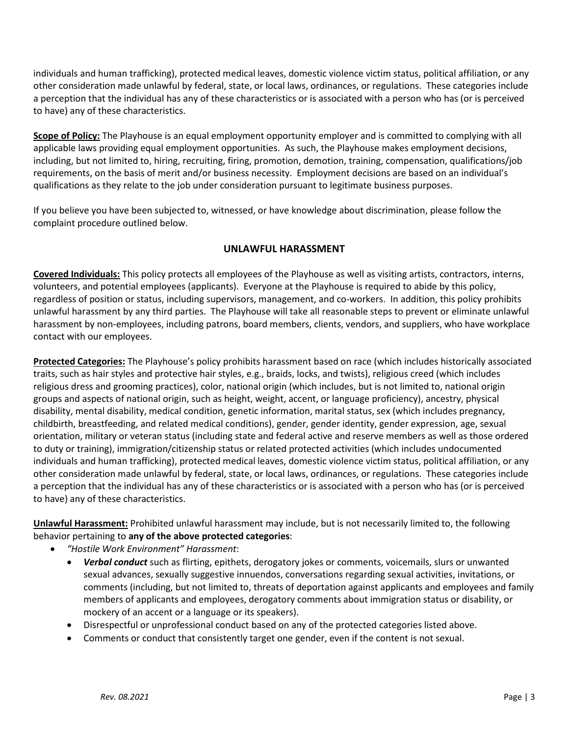individuals and human trafficking), protected medical leaves, domestic violence victim status, political affiliation, or any other consideration made unlawful by federal, state, or local laws, ordinances, or regulations. These categories include a perception that the individual has any of these characteristics or is associated with a person who has (or is perceived to have) any of these characteristics.

**Scope of Policy:** The Playhouse is an equal employment opportunity employer and is committed to complying with all applicable laws providing equal employment opportunities. As such, the Playhouse makes employment decisions, including, but not limited to, hiring, recruiting, firing, promotion, demotion, training, compensation, qualifications/job requirements, on the basis of merit and/or business necessity. Employment decisions are based on an individual's qualifications as they relate to the job under consideration pursuant to legitimate business purposes.

If you believe you have been subjected to, witnessed, or have knowledge about discrimination, please follow the complaint procedure outlined below.

#### **UNLAWFUL HARASSMENT**

**Covered Individuals:** This policy protects all employees of the Playhouse as well as visiting artists, contractors, interns, volunteers, and potential employees (applicants). Everyone at the Playhouse is required to abide by this policy, regardless of position or status, including supervisors, management, and co-workers. In addition, this policy prohibits unlawful harassment by any third parties. The Playhouse will take all reasonable steps to prevent or eliminate unlawful harassment by non-employees, including patrons, board members, clients, vendors, and suppliers, who have workplace contact with our employees.

**Protected Categories:** The Playhouse's policy prohibits harassment based on race (which includes historically associated traits, such as hair styles and protective hair styles, e.g., braids, locks, and twists), religious creed (which includes religious dress and grooming practices), color, national origin (which includes, but is not limited to, national origin groups and aspects of national origin, such as height, weight, accent, or language proficiency), ancestry, physical disability, mental disability, medical condition, genetic information, marital status, sex (which includes pregnancy, childbirth, breastfeeding, and related medical conditions), gender, gender identity, gender expression, age, sexual orientation, military or veteran status (including state and federal active and reserve members as well as those ordered to duty or training), immigration/citizenship status or related protected activities (which includes undocumented individuals and human trafficking), protected medical leaves, domestic violence victim status, political affiliation, or any other consideration made unlawful by federal, state, or local laws, ordinances, or regulations. These categories include a perception that the individual has any of these characteristics or is associated with a person who has (or is perceived to have) any of these characteristics.

**Unlawful Harassment:** Prohibited unlawful harassment may include, but is not necessarily limited to, the following behavior pertaining to **any of the above protected categories**:

- *"Hostile Work Environment" Harassment*:
	- *Verbal conduct* such as flirting, epithets, derogatory jokes or comments, voicemails, slurs or unwanted sexual advances, sexually suggestive innuendos, conversations regarding sexual activities, invitations, or comments (including, but not limited to, threats of deportation against applicants and employees and family members of applicants and employees, derogatory comments about immigration status or disability, or mockery of an accent or a language or its speakers).
	- Disrespectful or unprofessional conduct based on any of the protected categories listed above.
	- Comments or conduct that consistently target one gender, even if the content is not sexual.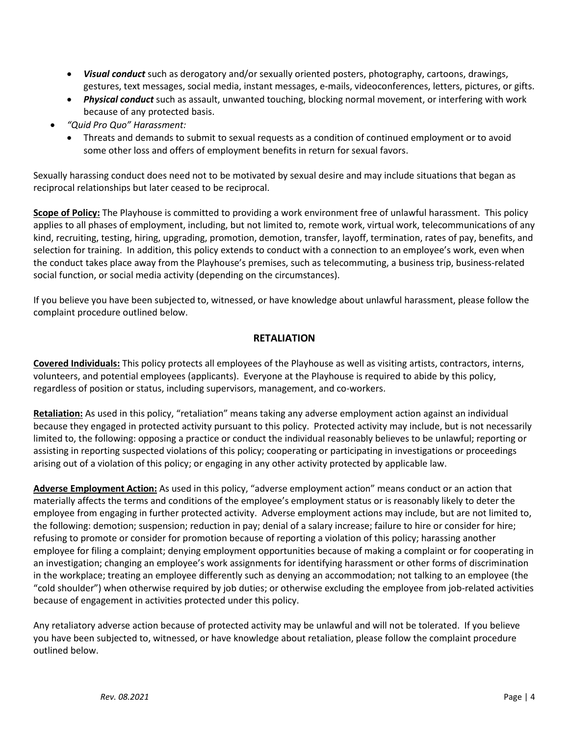- *Visual conduct* such as derogatory and/or sexually oriented posters, photography, cartoons, drawings, gestures, text messages, social media, instant messages, e-mails, videoconferences, letters, pictures, or gifts.
- *Physical conduct* such as assault, unwanted touching, blocking normal movement, or interfering with work because of any protected basis.
- *"Quid Pro Quo" Harassment:*
	- Threats and demands to submit to sexual requests as a condition of continued employment or to avoid some other loss and offers of employment benefits in return for sexual favors.

Sexually harassing conduct does need not to be motivated by sexual desire and may include situations that began as reciprocal relationships but later ceased to be reciprocal.

**Scope of Policy:** The Playhouse is committed to providing a work environment free of unlawful harassment. This policy applies to all phases of employment, including, but not limited to, remote work, virtual work, telecommunications of any kind, recruiting, testing, hiring, upgrading, promotion, demotion, transfer, layoff, termination, rates of pay, benefits, and selection for training. In addition, this policy extends to conduct with a connection to an employee's work, even when the conduct takes place away from the Playhouse's premises, such as telecommuting, a business trip, business-related social function, or social media activity (depending on the circumstances).

If you believe you have been subjected to, witnessed, or have knowledge about unlawful harassment, please follow the complaint procedure outlined below.

#### **RETALIATION**

**Covered Individuals:** This policy protects all employees of the Playhouse as well as visiting artists, contractors, interns, volunteers, and potential employees (applicants). Everyone at the Playhouse is required to abide by this policy, regardless of position or status, including supervisors, management, and co-workers.

**Retaliation:** As used in this policy, "retaliation" means taking any adverse employment action against an individual because they engaged in protected activity pursuant to this policy. Protected activity may include, but is not necessarily limited to, the following: opposing a practice or conduct the individual reasonably believes to be unlawful; reporting or assisting in reporting suspected violations of this policy; cooperating or participating in investigations or proceedings arising out of a violation of this policy; or engaging in any other activity protected by applicable law.

**Adverse Employment Action:** As used in this policy, "adverse employment action" means conduct or an action that materially affects the terms and conditions of the employee's employment status or is reasonably likely to deter the employee from engaging in further protected activity. Adverse employment actions may include, but are not limited to, the following: demotion; suspension; reduction in pay; denial of a salary increase; failure to hire or consider for hire; refusing to promote or consider for promotion because of reporting a violation of this policy; harassing another employee for filing a complaint; denying employment opportunities because of making a complaint or for cooperating in an investigation; changing an employee's work assignments for identifying harassment or other forms of discrimination in the workplace; treating an employee differently such as denying an accommodation; not talking to an employee (the "cold shoulder") when otherwise required by job duties; or otherwise excluding the employee from job-related activities because of engagement in activities protected under this policy.

Any retaliatory adverse action because of protected activity may be unlawful and will not be tolerated. If you believe you have been subjected to, witnessed, or have knowledge about retaliation, please follow the complaint procedure outlined below.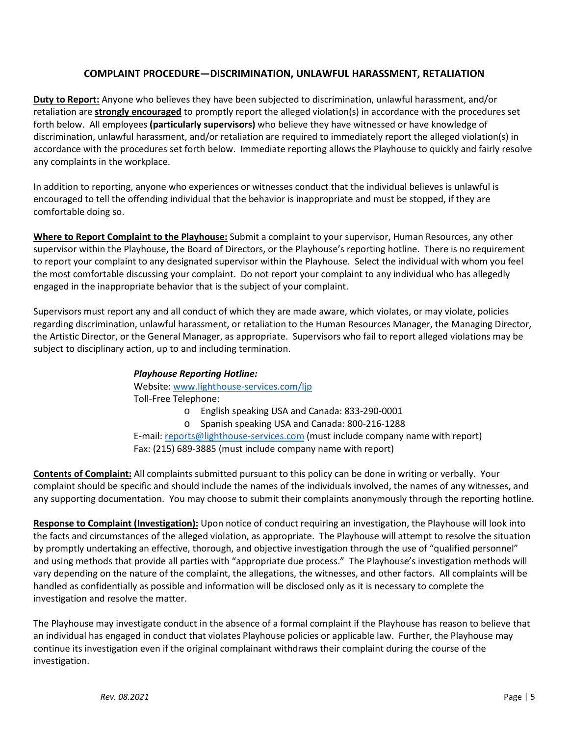#### **COMPLAINT PROCEDURE—DISCRIMINATION, UNLAWFUL HARASSMENT, RETALIATION**

**Duty to Report:** Anyone who believes they have been subjected to discrimination, unlawful harassment, and/or retaliation are **strongly encouraged** to promptly report the alleged violation(s) in accordance with the procedures set forth below. All employees **(particularly supervisors)** who believe they have witnessed or have knowledge of discrimination, unlawful harassment, and/or retaliation are required to immediately report the alleged violation(s) in accordance with the procedures set forth below. Immediate reporting allows the Playhouse to quickly and fairly resolve any complaints in the workplace.

In addition to reporting, anyone who experiences or witnesses conduct that the individual believes is unlawful is encouraged to tell the offending individual that the behavior is inappropriate and must be stopped, if they are comfortable doing so.

**Where to Report Complaint to the Playhouse:** Submit a complaint to your supervisor, Human Resources, any other supervisor within the Playhouse, the Board of Directors, or the Playhouse's reporting hotline. There is no requirement to report your complaint to any designated supervisor within the Playhouse. Select the individual with whom you feel the most comfortable discussing your complaint. Do not report your complaint to any individual who has allegedly engaged in the inappropriate behavior that is the subject of your complaint.

Supervisors must report any and all conduct of which they are made aware, which violates, or may violate, policies regarding discrimination, unlawful harassment, or retaliation to the Human Resources Manager, the Managing Director, the Artistic Director, or the General Manager, as appropriate. Supervisors who fail to report alleged violations may be subject to disciplinary action, up to and including termination.

#### *Playhouse Reporting Hotline:*

Website[: www.lighthouse-services.com/ljp](http://www.lighthouse-services.com/ljp)

Toll-Free Telephone:

- o English speaking USA and Canada: 833-290-0001
- o Spanish speaking USA and Canada: 800-216-1288

E-mail: [reports@lighthouse-services.com](mailto:reports@lighthouse-services.com) (must include company name with report) Fax: (215) 689-3885 (must include company name with report)

**Contents of Complaint:** All complaints submitted pursuant to this policy can be done in writing or verbally. Your complaint should be specific and should include the names of the individuals involved, the names of any witnesses, and any supporting documentation. You may choose to submit their complaints anonymously through the reporting hotline.

**Response to Complaint (Investigation):** Upon notice of conduct requiring an investigation, the Playhouse will look into the facts and circumstances of the alleged violation, as appropriate. The Playhouse will attempt to resolve the situation by promptly undertaking an effective, thorough, and objective investigation through the use of "qualified personnel" and using methods that provide all parties with "appropriate due process." The Playhouse's investigation methods will vary depending on the nature of the complaint, the allegations, the witnesses, and other factors. All complaints will be handled as confidentially as possible and information will be disclosed only as it is necessary to complete the investigation and resolve the matter.

The Playhouse may investigate conduct in the absence of a formal complaint if the Playhouse has reason to believe that an individual has engaged in conduct that violates Playhouse policies or applicable law. Further, the Playhouse may continue its investigation even if the original complainant withdraws their complaint during the course of the investigation.